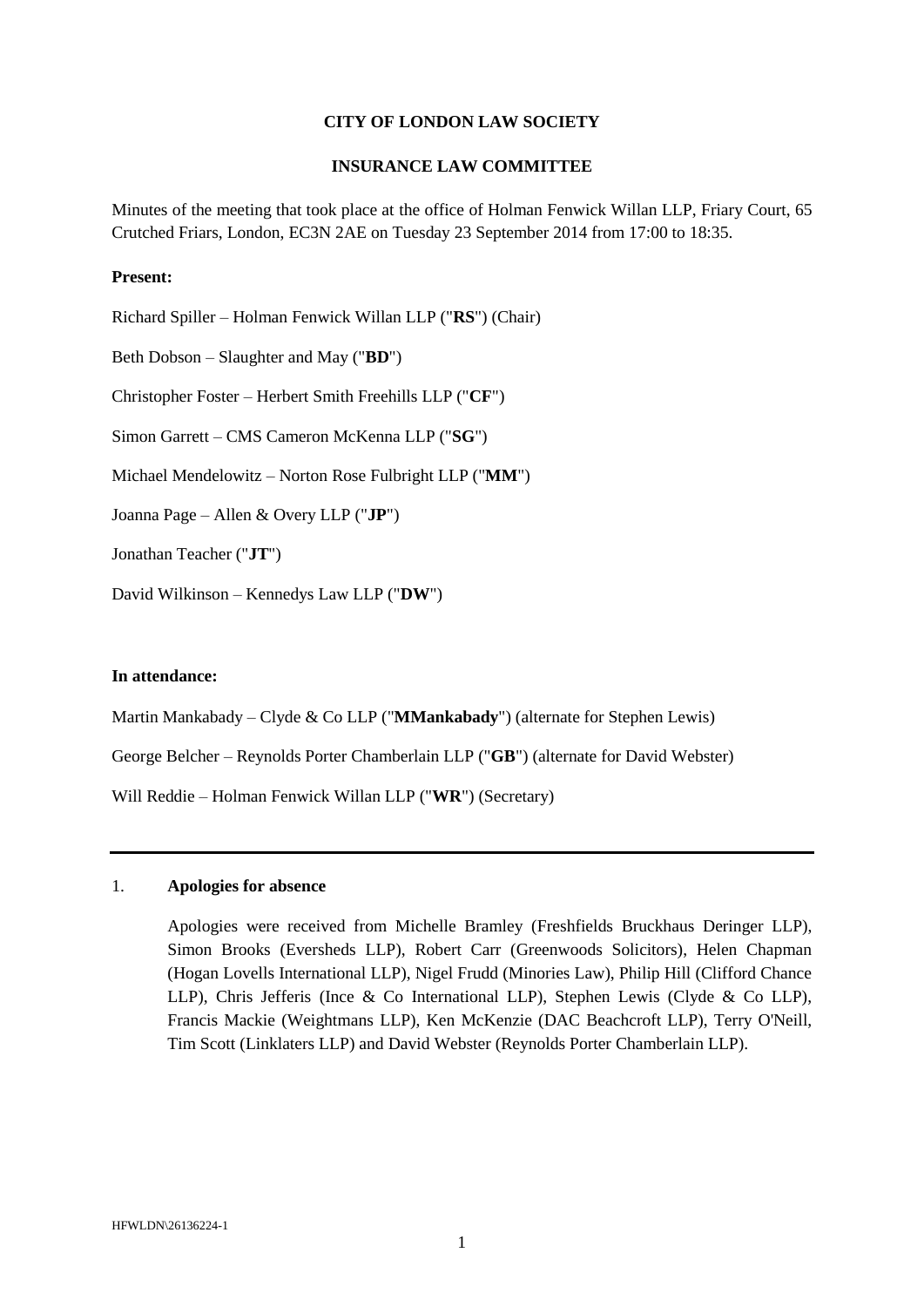#### **CITY OF LONDON LAW SOCIETY**

#### **INSURANCE LAW COMMITTEE**

Minutes of the meeting that took place at the office of Holman Fenwick Willan LLP, Friary Court, 65 Crutched Friars, London, EC3N 2AE on Tuesday 23 September 2014 from 17:00 to 18:35.

#### **Present:**

Richard Spiller – Holman Fenwick Willan LLP ("**RS**") (Chair) Beth Dobson – Slaughter and May ("**BD**") Christopher Foster – Herbert Smith Freehills LLP ("**CF**") Simon Garrett – CMS Cameron McKenna LLP ("**SG**") Michael Mendelowitz – Norton Rose Fulbright LLP ("**MM**") Joanna Page – Allen & Overy LLP ("**JP**") Jonathan Teacher ("**JT**") David Wilkinson – Kennedys Law LLP ("**DW**")

#### **In attendance:**

Martin Mankabady – Clyde & Co LLP ("**MMankabady**") (alternate for Stephen Lewis)

George Belcher – Reynolds Porter Chamberlain LLP ("**GB**") (alternate for David Webster)

Will Reddie – Holman Fenwick Willan LLP ("**WR**") (Secretary)

## 1. **Apologies for absence**

Apologies were received from Michelle Bramley (Freshfields Bruckhaus Deringer LLP), Simon Brooks (Eversheds LLP), Robert Carr (Greenwoods Solicitors), Helen Chapman (Hogan Lovells International LLP), Nigel Frudd (Minories Law), Philip Hill (Clifford Chance LLP), Chris Jefferis (Ince & Co International LLP), Stephen Lewis (Clyde & Co LLP), Francis Mackie (Weightmans LLP), Ken McKenzie (DAC Beachcroft LLP), Terry O'Neill, Tim Scott (Linklaters LLP) and David Webster (Reynolds Porter Chamberlain LLP).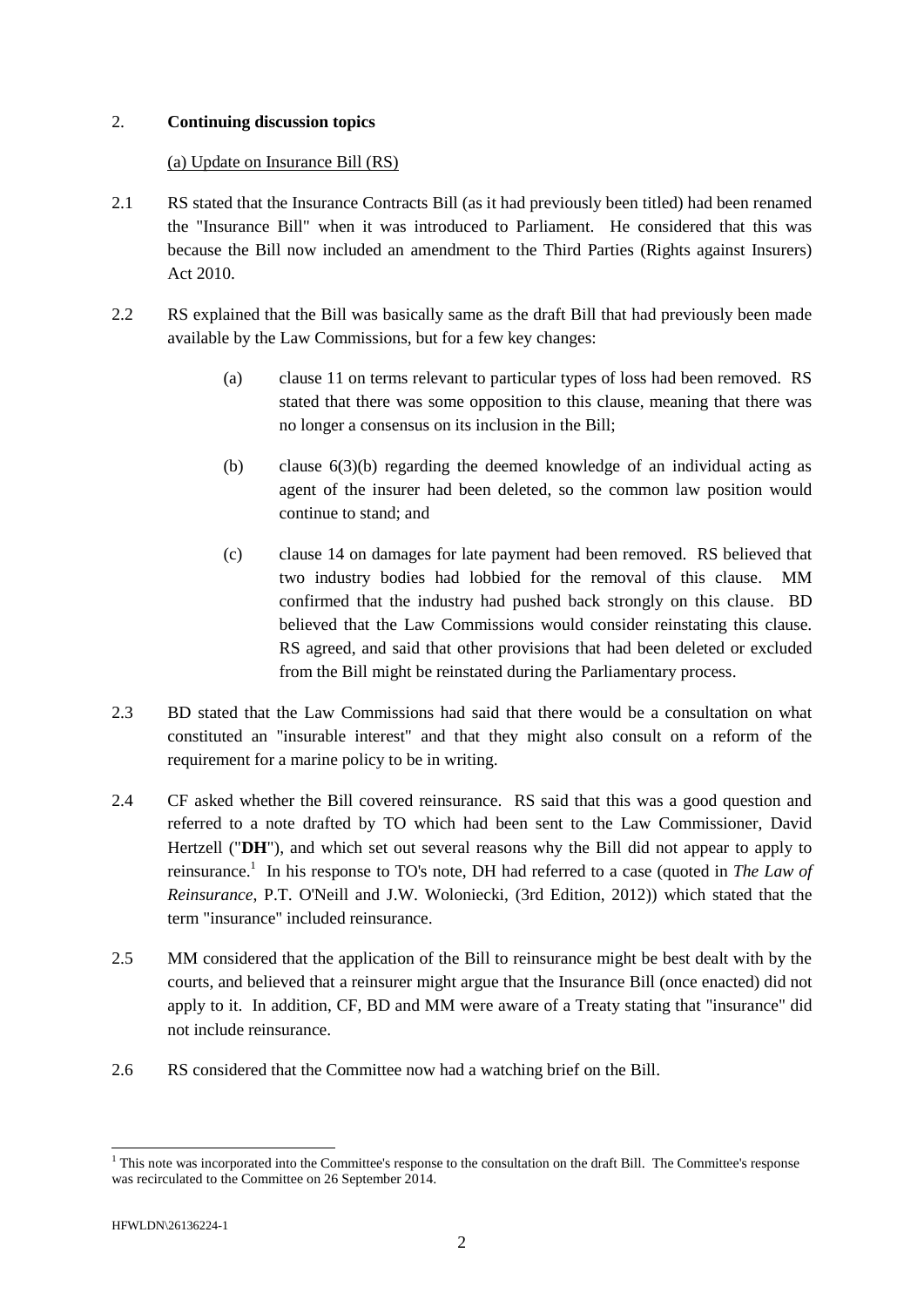## 2. **Continuing discussion topics**

## (a) Update on Insurance Bill (RS)

- 2.1 RS stated that the Insurance Contracts Bill (as it had previously been titled) had been renamed the "Insurance Bill" when it was introduced to Parliament. He considered that this was because the Bill now included an amendment to the Third Parties (Rights against Insurers) Act 2010.
- 2.2 RS explained that the Bill was basically same as the draft Bill that had previously been made available by the Law Commissions, but for a few key changes:
	- (a) clause 11 on terms relevant to particular types of loss had been removed. RS stated that there was some opposition to this clause, meaning that there was no longer a consensus on its inclusion in the Bill;
	- (b) clause 6(3)(b) regarding the deemed knowledge of an individual acting as agent of the insurer had been deleted, so the common law position would continue to stand; and
	- (c) clause 14 on damages for late payment had been removed. RS believed that two industry bodies had lobbied for the removal of this clause. MM confirmed that the industry had pushed back strongly on this clause. BD believed that the Law Commissions would consider reinstating this clause. RS agreed, and said that other provisions that had been deleted or excluded from the Bill might be reinstated during the Parliamentary process.
- 2.3 BD stated that the Law Commissions had said that there would be a consultation on what constituted an "insurable interest" and that they might also consult on a reform of the requirement for a marine policy to be in writing.
- 2.4 CF asked whether the Bill covered reinsurance. RS said that this was a good question and referred to a note drafted by TO which had been sent to the Law Commissioner, David Hertzell ("**DH**"), and which set out several reasons why the Bill did not appear to apply to reinsurance. 1 In his response to TO's note, DH had referred to a case (quoted in *The Law of Reinsurance*, P.T. O'Neill and J.W. Woloniecki, (3rd Edition, 2012)) which stated that the term "insurance" included reinsurance.
- 2.5 MM considered that the application of the Bill to reinsurance might be best dealt with by the courts, and believed that a reinsurer might argue that the Insurance Bill (once enacted) did not apply to it. In addition, CF, BD and MM were aware of a Treaty stating that "insurance" did not include reinsurance.
- 2.6 RS considered that the Committee now had a watching brief on the Bill.

<sup>-</sup><sup>1</sup> This note was incorporated into the Committee's response to the consultation on the draft Bill. The Committee's response was recirculated to the Committee on 26 September 2014.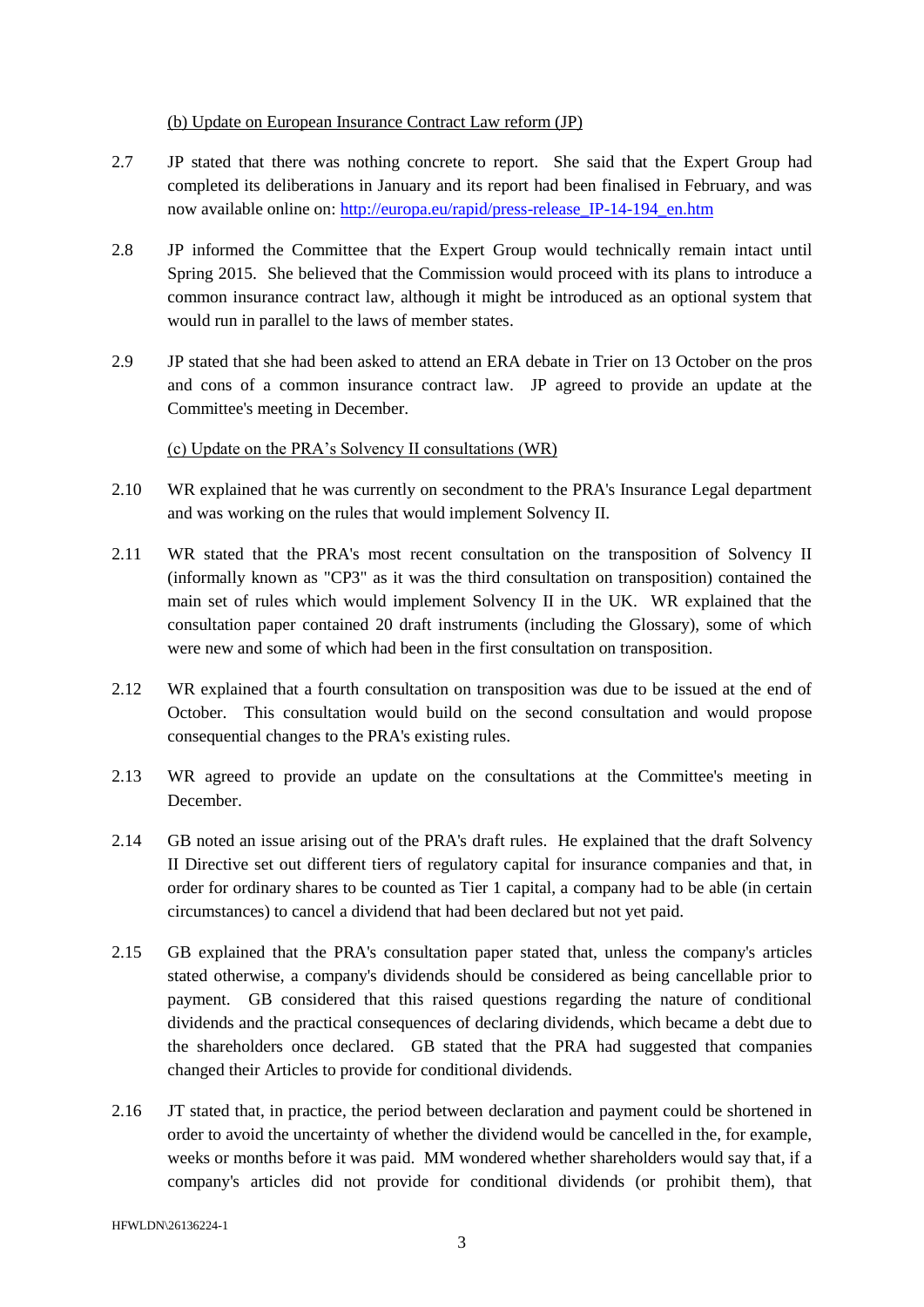## (b) Update on European Insurance Contract Law reform (JP)

- 2.7 JP stated that there was nothing concrete to report. She said that the Expert Group had completed its deliberations in January and its report had been finalised in February, and was now available online on: [http://europa.eu/rapid/press-release\\_IP-14-194\\_en.htm](http://europa.eu/rapid/press-release_IP-14-194_en.htm)
- 2.8 JP informed the Committee that the Expert Group would technically remain intact until Spring 2015. She believed that the Commission would proceed with its plans to introduce a common insurance contract law, although it might be introduced as an optional system that would run in parallel to the laws of member states.
- 2.9 JP stated that she had been asked to attend an ERA debate in Trier on 13 October on the pros and cons of a common insurance contract law. JP agreed to provide an update at the Committee's meeting in December.

# (c) Update on the PRA's Solvency II consultations (WR)

- 2.10 WR explained that he was currently on secondment to the PRA's Insurance Legal department and was working on the rules that would implement Solvency II.
- 2.11 WR stated that the PRA's most recent consultation on the transposition of Solvency II (informally known as "CP3" as it was the third consultation on transposition) contained the main set of rules which would implement Solvency II in the UK. WR explained that the consultation paper contained 20 draft instruments (including the Glossary), some of which were new and some of which had been in the first consultation on transposition.
- 2.12 WR explained that a fourth consultation on transposition was due to be issued at the end of October. This consultation would build on the second consultation and would propose consequential changes to the PRA's existing rules.
- 2.13 WR agreed to provide an update on the consultations at the Committee's meeting in December.
- 2.14 GB noted an issue arising out of the PRA's draft rules. He explained that the draft Solvency II Directive set out different tiers of regulatory capital for insurance companies and that, in order for ordinary shares to be counted as Tier 1 capital, a company had to be able (in certain circumstances) to cancel a dividend that had been declared but not yet paid.
- 2.15 GB explained that the PRA's consultation paper stated that, unless the company's articles stated otherwise, a company's dividends should be considered as being cancellable prior to payment. GB considered that this raised questions regarding the nature of conditional dividends and the practical consequences of declaring dividends, which became a debt due to the shareholders once declared. GB stated that the PRA had suggested that companies changed their Articles to provide for conditional dividends.
- 2.16 JT stated that, in practice, the period between declaration and payment could be shortened in order to avoid the uncertainty of whether the dividend would be cancelled in the, for example, weeks or months before it was paid. MM wondered whether shareholders would say that, if a company's articles did not provide for conditional dividends (or prohibit them), that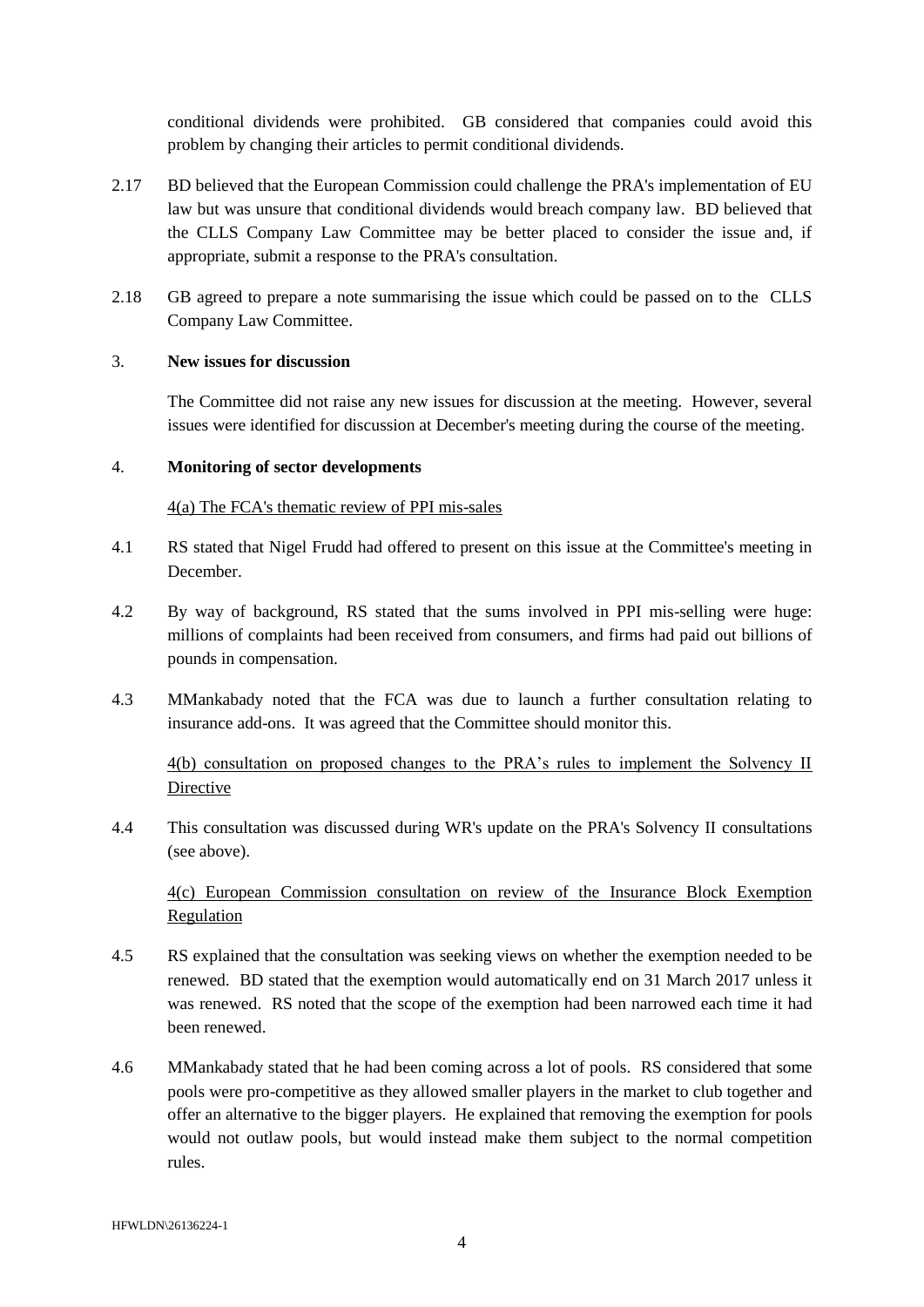conditional dividends were prohibited. GB considered that companies could avoid this problem by changing their articles to permit conditional dividends.

- 2.17 BD believed that the European Commission could challenge the PRA's implementation of EU law but was unsure that conditional dividends would breach company law. BD believed that the CLLS Company Law Committee may be better placed to consider the issue and, if appropriate, submit a response to the PRA's consultation.
- 2.18 GB agreed to prepare a note summarising the issue which could be passed on to the CLLS Company Law Committee.

#### 3. **New issues for discussion**

The Committee did not raise any new issues for discussion at the meeting. However, several issues were identified for discussion at December's meeting during the course of the meeting.

#### 4. **Monitoring of sector developments**

#### 4(a) The FCA's thematic review of PPI mis-sales

- 4.1 RS stated that Nigel Frudd had offered to present on this issue at the Committee's meeting in December.
- 4.2 By way of background, RS stated that the sums involved in PPI mis-selling were huge: millions of complaints had been received from consumers, and firms had paid out billions of pounds in compensation.
- 4.3 MMankabady noted that the FCA was due to launch a further consultation relating to insurance add-ons. It was agreed that the Committee should monitor this.

4(b) consultation on proposed changes to the PRA's rules to implement the Solvency II Directive

4.4 This consultation was discussed during WR's update on the PRA's Solvency II consultations (see above).

4(c) European Commission consultation on review of the Insurance Block Exemption Regulation

- 4.5 RS explained that the consultation was seeking views on whether the exemption needed to be renewed. BD stated that the exemption would automatically end on 31 March 2017 unless it was renewed. RS noted that the scope of the exemption had been narrowed each time it had been renewed.
- 4.6 MMankabady stated that he had been coming across a lot of pools. RS considered that some pools were pro-competitive as they allowed smaller players in the market to club together and offer an alternative to the bigger players. He explained that removing the exemption for pools would not outlaw pools, but would instead make them subject to the normal competition rules.